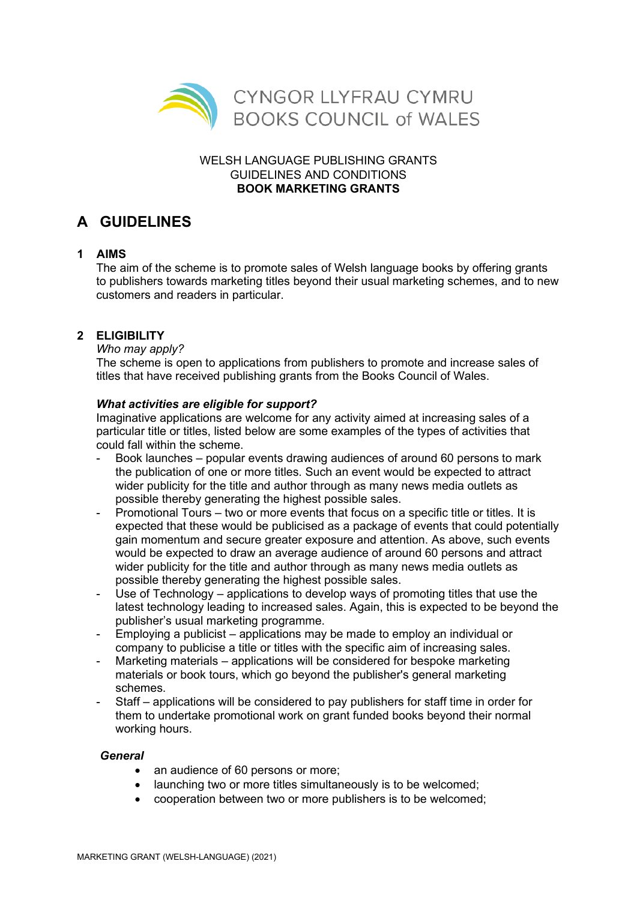

### WELSH LANGUAGE PUBLISHING GRANTS GUIDELINES AND CONDITIONS **BOOK MARKETING GRANTS**

# **A GUIDELINES**

### **1 AIMS**

The aim of the scheme is to promote sales of Welsh language books by offering grants to publishers towards marketing titles beyond their usual marketing schemes, and to new customers and readers in particular.

# **2 ELIGIBILITY**

### *Who may apply?*

The scheme is open to applications from publishers to promote and increase sales of titles that have received publishing grants from the Books Council of Wales.

### *What activities are eligible for support?*

Imaginative applications are welcome for any activity aimed at increasing sales of a particular title or titles, listed below are some examples of the types of activities that could fall within the scheme.

- Book launches popular events drawing audiences of around 60 persons to mark the publication of one or more titles. Such an event would be expected to attract wider publicity for the title and author through as many news media outlets as possible thereby generating the highest possible sales.
- Promotional Tours two or more events that focus on a specific title or titles. It is expected that these would be publicised as a package of events that could potentially gain momentum and secure greater exposure and attention. As above, such events would be expected to draw an average audience of around 60 persons and attract wider publicity for the title and author through as many news media outlets as possible thereby generating the highest possible sales.
- Use of Technology applications to develop ways of promoting titles that use the latest technology leading to increased sales. Again, this is expected to be beyond the publisher's usual marketing programme.
- Employing a publicist applications may be made to employ an individual or company to publicise a title or titles with the specific aim of increasing sales.
- Marketing materials applications will be considered for bespoke marketing materials or book tours, which go beyond the publisher's general marketing schemes.
- Staff applications will be considered to pay publishers for staff time in order for them to undertake promotional work on grant funded books beyond their normal working hours.

### *General*

- an audience of 60 persons or more;
- launching two or more titles simultaneously is to be welcomed;
- cooperation between two or more publishers is to be welcomed;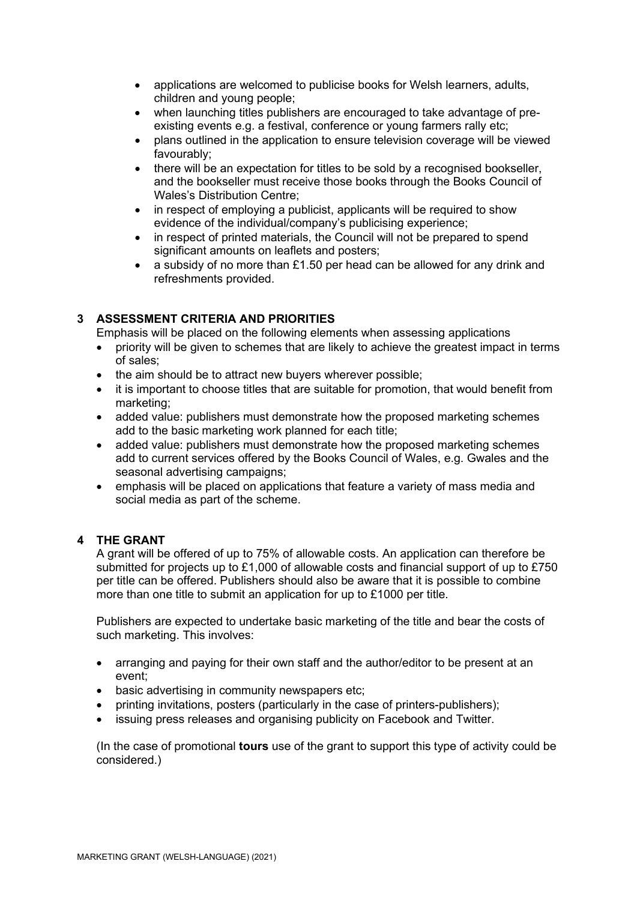- applications are welcomed to publicise books for Welsh learners, adults, children and young people;
- when launching titles publishers are encouraged to take advantage of preexisting events e.g. a festival, conference or young farmers rally etc;
- plans outlined in the application to ensure television coverage will be viewed favourably;
- there will be an expectation for titles to be sold by a recognised bookseller, and the bookseller must receive those books through the Books Council of Wales's Distribution Centre;
- in respect of employing a publicist, applicants will be required to show evidence of the individual/company's publicising experience;
- in respect of printed materials, the Council will not be prepared to spend significant amounts on leaflets and posters;
- a subsidy of no more than £1.50 per head can be allowed for any drink and refreshments provided.

## **3 ASSESSMENT CRITERIA AND PRIORITIES**

Emphasis will be placed on the following elements when assessing applications

- priority will be given to schemes that are likely to achieve the greatest impact in terms of sales;
- the aim should be to attract new buyers wherever possible;
- it is important to choose titles that are suitable for promotion, that would benefit from marketing;
- added value: publishers must demonstrate how the proposed marketing schemes add to the basic marketing work planned for each title;
- added value: publishers must demonstrate how the proposed marketing schemes add to current services offered by the Books Council of Wales, e.g. Gwales and the seasonal advertising campaigns;
- emphasis will be placed on applications that feature a variety of mass media and social media as part of the scheme.

### **4 THE GRANT**

A grant will be offered of up to 75% of allowable costs. An application can therefore be submitted for projects up to £1,000 of allowable costs and financial support of up to £750 per title can be offered. Publishers should also be aware that it is possible to combine more than one title to submit an application for up to £1000 per title.

Publishers are expected to undertake basic marketing of the title and bear the costs of such marketing. This involves:

- arranging and paying for their own staff and the author/editor to be present at an event;
- basic advertising in community newspapers etc;
- printing invitations, posters (particularly in the case of printers-publishers);
- issuing press releases and organising publicity on Facebook and Twitter.

(In the case of promotional **tours** use of the grant to support this type of activity could be considered.)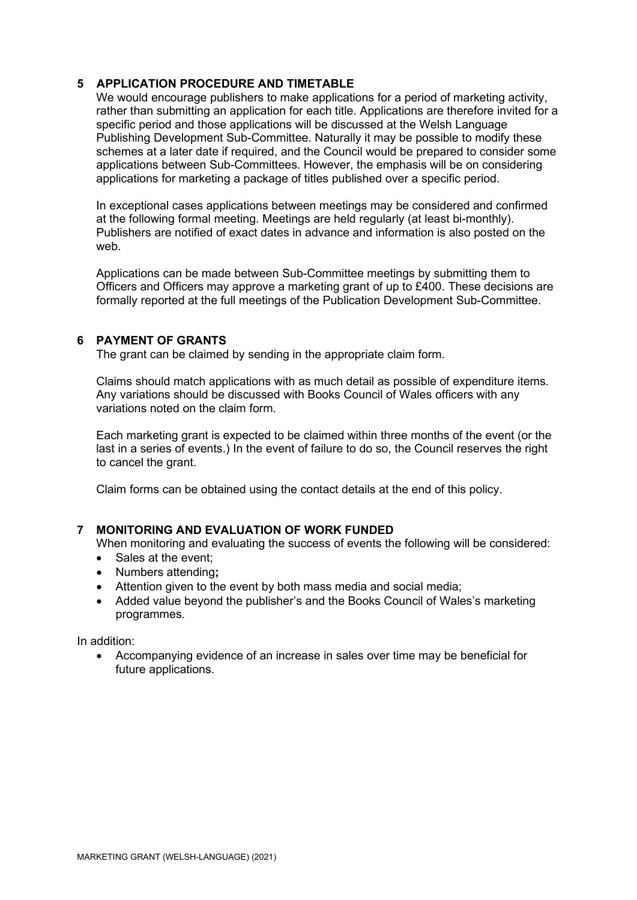#### **5 APPLICATION PROCEDURE AND TIMETABLE**

We would encourage publishers to make applications for a period of marketing activity, rather than submitting an application for each title. Applications are therefore invited for a specific period and those applications will be discussed at the Welsh Language Publishing Development Sub-Committee. Naturally it may be possible to modify these schemes at a later date if required, and the Council would be prepared to consider some applications between Sub-Committees. However, the emphasis will be on considering applications for marketing a package of titles published over a specific period.

In exceptional cases applications between meetings may be considered and confirmed at the following formal meeting. Meetings are held regularly (at least bi-monthly). Publishers are notified of exact dates in advance and information is also posted on the web.

Applications can be made between Sub-Committee meetings by submitting them to Officers and Officers may approve a marketing grant of up to £400. These decisions are formally reported at the full meetings of the Publication Development Sub-Committee.

#### **6 PAYMENT OF GRANTS**

The grant can be claimed by sending in the appropriate claim form.

Claims should match applications with as much detail as possible of expenditure items. Any variations should be discussed with Books Council of Wales officers with any variations noted on the claim form.

Each marketing grant is expected to be claimed within three months of the event (or the last in a series of events.) In the event of failure to do so, the Council reserves the right to cancel the grant.

Claim forms can be obtained using the contact details at the end of this policy.

### **7 MONITORING AND EVALUATION OF WORK FUNDED**

When monitoring and evaluating the success of events the following will be considered:

- Sales at the event;
- Numbers attending**;**
- Attention given to the event by both mass media and social media;
- Added value beyond the publisher's and the Books Council of Wales's marketing programmes.

In addition:

• Accompanying evidence of an increase in sales over time may be beneficial for future applications.